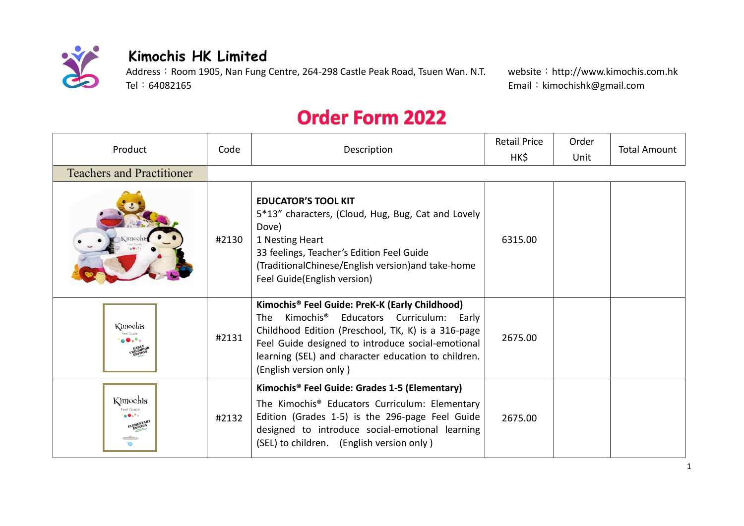

## **Kimochis HK Limited**

Address: Room 1905, Nan Fung Centre, 264-298 Castle Peak Road, Tsuen Wan. N.T. website: http://www.kimochis.com.hk<br>Tel: 64082165 Funail: kimochishk@gmail.com

Email: kimochishk@gmail.com

## **Order Form 2022**

| Product                               | Code  | Description                                                                                                                                                                                                                                                                                            | <b>Retail Price</b> | Order | <b>Total Amount</b> |
|---------------------------------------|-------|--------------------------------------------------------------------------------------------------------------------------------------------------------------------------------------------------------------------------------------------------------------------------------------------------------|---------------------|-------|---------------------|
|                                       |       |                                                                                                                                                                                                                                                                                                        | HK\$                | Unit  |                     |
| <b>Teachers and Practitioner</b>      |       |                                                                                                                                                                                                                                                                                                        |                     |       |                     |
|                                       | #2130 | <b>EDUCATOR'S TOOL KIT</b><br>5*13" characters, (Cloud, Hug, Bug, Cat and Lovely<br>Dove)<br>1 Nesting Heart<br>33 feelings, Teacher's Edition Feel Guide<br>(TraditionalChinese/English version)and take-home<br>Feel Guide(English version)                                                          | 6315.00             |       |                     |
| Kimochis                              | #2131 | Kimochis® Feel Guide: PreK-K (Early Childhood)<br>Kimochis <sup>®</sup> Educators Curriculum: Early<br>The<br>Childhood Edition (Preschool, TK, K) is a 316-page<br>Feel Guide designed to introduce social-emotional<br>learning (SEL) and character education to children.<br>(English version only) | 2675.00             |       |                     |
| Kimochis<br>Feel Guide<br><b>OLON</b> | #2132 | Kimochis <sup>®</sup> Feel Guide: Grades 1-5 (Elementary)<br>The Kimochis <sup>®</sup> Educators Curriculum: Elementary<br>Edition (Grades 1-5) is the 296-page Feel Guide<br>designed to introduce social-emotional learning<br>(SEL) to children. (English version only)                             | 2675.00             |       |                     |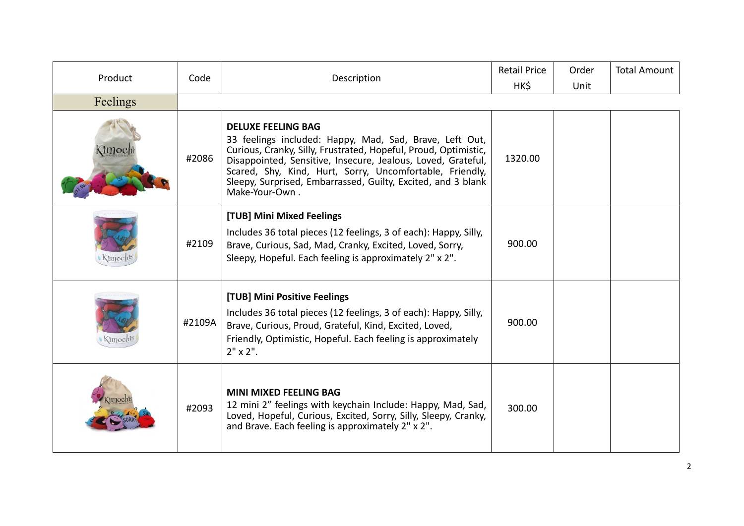| Product  | Code   | Description                                                                                                                                                                                                                                                                                                                                                           | <b>Retail Price</b><br>HK\$ | Order<br>Unit | <b>Total Amount</b> |
|----------|--------|-----------------------------------------------------------------------------------------------------------------------------------------------------------------------------------------------------------------------------------------------------------------------------------------------------------------------------------------------------------------------|-----------------------------|---------------|---------------------|
| Feelings |        |                                                                                                                                                                                                                                                                                                                                                                       |                             |               |                     |
| Kimoch   | #2086  | <b>DELUXE FEELING BAG</b><br>33 feelings included: Happy, Mad, Sad, Brave, Left Out,<br>Curious, Cranky, Silly, Frustrated, Hopeful, Proud, Optimistic,<br>Disappointed, Sensitive, Insecure, Jealous, Loved, Grateful,<br>Scared, Shy, Kind, Hurt, Sorry, Uncomfortable, Friendly,<br>Sleepy, Surprised, Embarrassed, Guilty, Excited, and 3 blank<br>Make-Your-Own. | 1320.00                     |               |                     |
|          | #2109  | [TUB] Mini Mixed Feelings<br>Includes 36 total pieces (12 feelings, 3 of each): Happy, Silly,<br>Brave, Curious, Sad, Mad, Cranky, Excited, Loved, Sorry,<br>Sleepy, Hopeful. Each feeling is approximately 2" x 2".                                                                                                                                                  | 900.00                      |               |                     |
|          | #2109A | [TUB] Mini Positive Feelings<br>Includes 36 total pieces (12 feelings, 3 of each): Happy, Silly,<br>Brave, Curious, Proud, Grateful, Kind, Excited, Loved,<br>Friendly, Optimistic, Hopeful. Each feeling is approximately<br>$2" \times 2".$                                                                                                                         | 900.00                      |               |                     |
|          | #2093  | <b>MINI MIXED FEELING BAG</b><br>12 mini 2" feelings with keychain Include: Happy, Mad, Sad,<br>Loved, Hopeful, Curious, Excited, Sorry, Silly, Sleepy, Cranky,<br>and Brave. Each feeling is approximately 2" x 2".                                                                                                                                                  | 300.00                      |               |                     |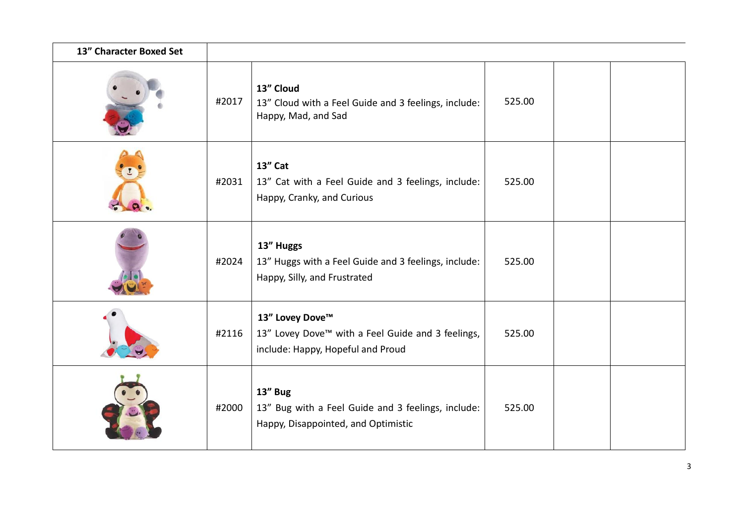| 13" Character Boxed Set |       |                                                                                                                       |        |  |
|-------------------------|-------|-----------------------------------------------------------------------------------------------------------------------|--------|--|
|                         | #2017 | 13" Cloud<br>13" Cloud with a Feel Guide and 3 feelings, include:<br>Happy, Mad, and Sad                              | 525.00 |  |
|                         | #2031 | 13" Cat<br>13" Cat with a Feel Guide and 3 feelings, include:<br>Happy, Cranky, and Curious                           | 525.00 |  |
|                         | #2024 | 13" Huggs<br>13" Huggs with a Feel Guide and 3 feelings, include:<br>Happy, Silly, and Frustrated                     | 525.00 |  |
|                         | #2116 | 13" Lovey Dove™<br>13" Lovey Dove <sup>™</sup> with a Feel Guide and 3 feelings,<br>include: Happy, Hopeful and Proud | 525.00 |  |
|                         | #2000 | 13" Bug<br>13" Bug with a Feel Guide and 3 feelings, include:<br>Happy, Disappointed, and Optimistic                  | 525.00 |  |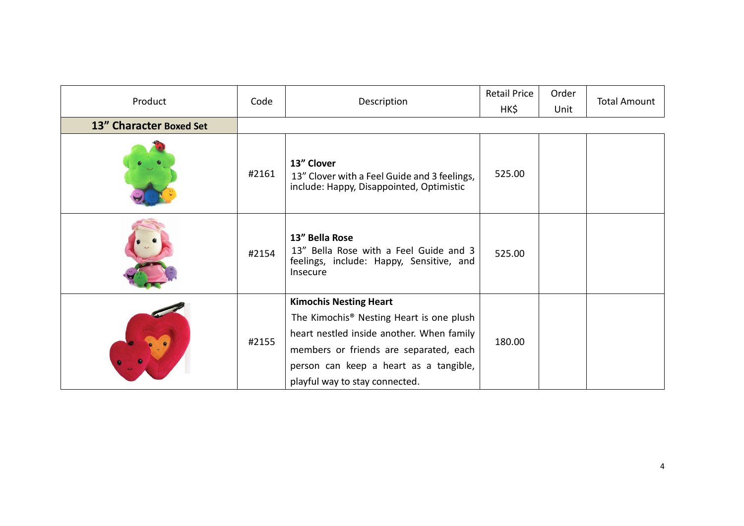| Product                 | Code  | Description                                                                                                      | <b>Retail Price</b><br>HK\$ | Order<br>Unit | <b>Total Amount</b> |
|-------------------------|-------|------------------------------------------------------------------------------------------------------------------|-----------------------------|---------------|---------------------|
| 13" Character Boxed Set |       |                                                                                                                  |                             |               |                     |
|                         | #2161 | 13" Clover<br>13" Clover with a Feel Guide and 3 feelings,<br>include: Happy, Disappointed, Optimistic           | 525.00                      |               |                     |
|                         | #2154 | 13" Bella Rose<br>13" Bella Rose with a Feel Guide and 3<br>feelings, include: Happy, Sensitive, and<br>Insecure |                             |               |                     |
|                         |       | <b>Kimochis Nesting Heart</b>                                                                                    |                             |               |                     |
|                         |       | The Kimochis <sup>®</sup> Nesting Heart is one plush                                                             |                             |               |                     |
|                         | #2155 | heart nestled inside another. When family                                                                        |                             |               |                     |
|                         |       | members or friends are separated, each                                                                           | 180.00                      |               |                     |
|                         |       | person can keep a heart as a tangible,                                                                           |                             |               |                     |
|                         |       | playful way to stay connected.                                                                                   |                             |               |                     |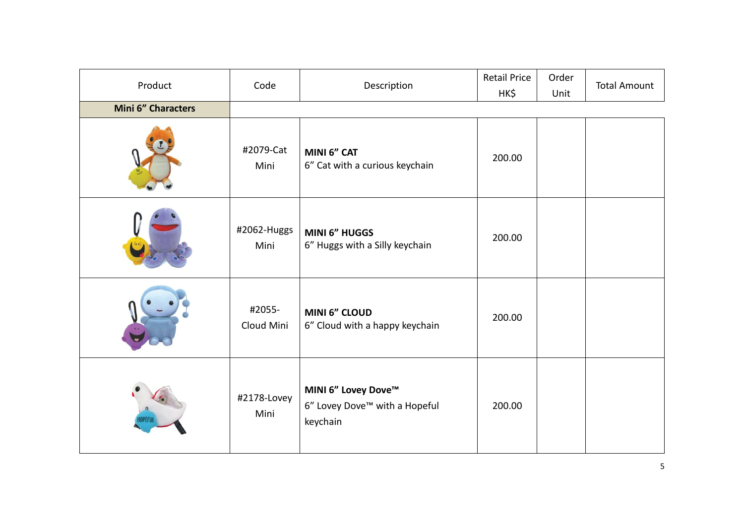| Product            | Code                 | Description                                                      | <b>Retail Price</b><br>HK\$ | Order<br>Unit | <b>Total Amount</b> |
|--------------------|----------------------|------------------------------------------------------------------|-----------------------------|---------------|---------------------|
| Mini 6" Characters |                      |                                                                  |                             |               |                     |
|                    | #2079-Cat<br>Mini    | MINI 6" CAT<br>6" Cat with a curious keychain                    | 200.00                      |               |                     |
|                    | #2062-Huggs<br>Mini  | <b>MINI 6" HUGGS</b><br>6" Huggs with a Silly keychain           | 200.00                      |               |                     |
|                    | #2055-<br>Cloud Mini | <b>MINI 6" CLOUD</b><br>6" Cloud with a happy keychain           | 200.00                      |               |                     |
|                    | #2178-Lovey<br>Mini  | MINI 6" Lovey Dove™<br>6" Lovey Dove™ with a Hopeful<br>keychain | 200.00                      |               |                     |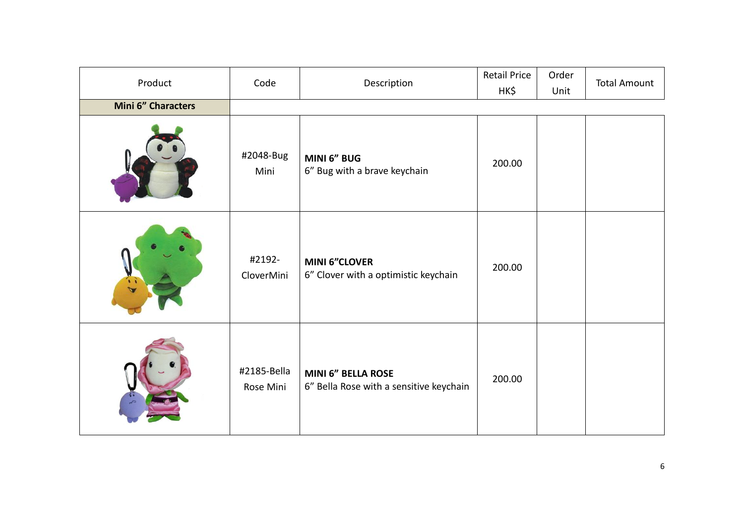| Product            | Code<br>Description      |                                                                      | <b>Retail Price</b><br>HK\$ | Order<br>Unit | <b>Total Amount</b> |
|--------------------|--------------------------|----------------------------------------------------------------------|-----------------------------|---------------|---------------------|
| Mini 6" Characters |                          |                                                                      |                             |               |                     |
|                    | #2048-Bug<br>Mini        | MINI 6" BUG<br>6" Bug with a brave keychain                          | 200.00                      |               |                     |
|                    | #2192-<br>CloverMini     | <b>MINI 6"CLOVER</b><br>6" Clover with a optimistic keychain         | 200.00                      |               |                     |
|                    | #2185-Bella<br>Rose Mini | <b>MINI 6" BELLA ROSE</b><br>6" Bella Rose with a sensitive keychain | 200.00                      |               |                     |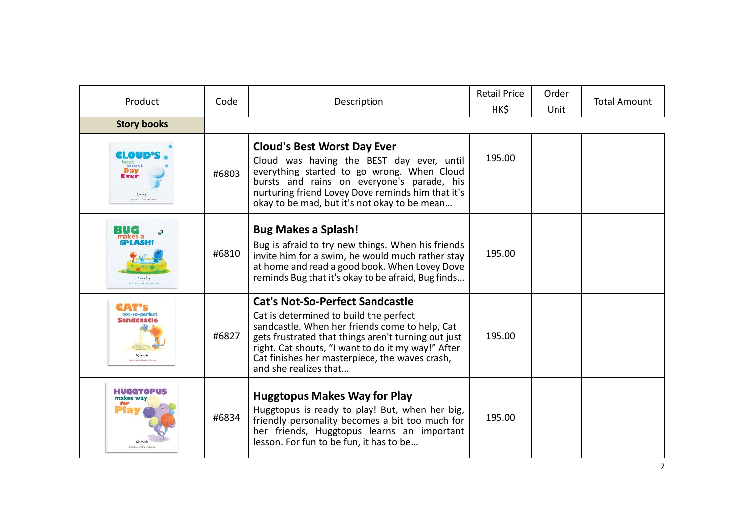| Product                                | Code  | Description                                                                                                                                                                                                                                                                                                                | <b>Retail Price</b><br>HK\$ | Order<br>Unit | <b>Total Amount</b> |
|----------------------------------------|-------|----------------------------------------------------------------------------------------------------------------------------------------------------------------------------------------------------------------------------------------------------------------------------------------------------------------------------|-----------------------------|---------------|---------------------|
| <b>Story books</b>                     |       |                                                                                                                                                                                                                                                                                                                            |                             |               |                     |
| EL OUI<br>best<br>worst<br>Kinischt    | #6803 | <b>Cloud's Best Worst Day Ever</b><br>Cloud was having the BEST day ever, until<br>everything started to go wrong. When Cloud<br>bursts and rains on everyone's parade, his<br>nurturing friend Lovey Dove reminds him that it's<br>okay to be mad, but it's not okay to be mean                                           | 195.00                      |               |                     |
| Kirkehte                               | #6810 | <b>Bug Makes a Splash!</b><br>Bug is afraid to try new things. When his friends<br>invite him for a swim, he would much rather stay<br>at home and read a good book. When Lovey Dove<br>reminds Bug that it's okay to be afraid, Bug finds                                                                                 | 195.00                      |               |                     |
| iot-so-perfect<br>Sandcastl<br>Kmochts | #6827 | <b>Cat's Not-So-Perfect Sandcastle</b><br>Cat is determined to build the perfect<br>sandcastle. When her friends come to help, Cat<br>gets frustrated that things aren't turning out just<br>right. Cat shouts, "I want to do it my way!" After<br>Cat finishes her masterpiece, the waves crash,<br>and she realizes that | 195.00                      |               |                     |
| HUGGTOPUS<br>makes way                 | #6834 | <b>Huggtopus Makes Way for Play</b><br>Huggtopus is ready to play! But, when her big,<br>friendly personality becomes a bit too much for<br>her friends, Huggtopus learns an important<br>lesson. For fun to be fun, it has to be                                                                                          | 195.00                      |               |                     |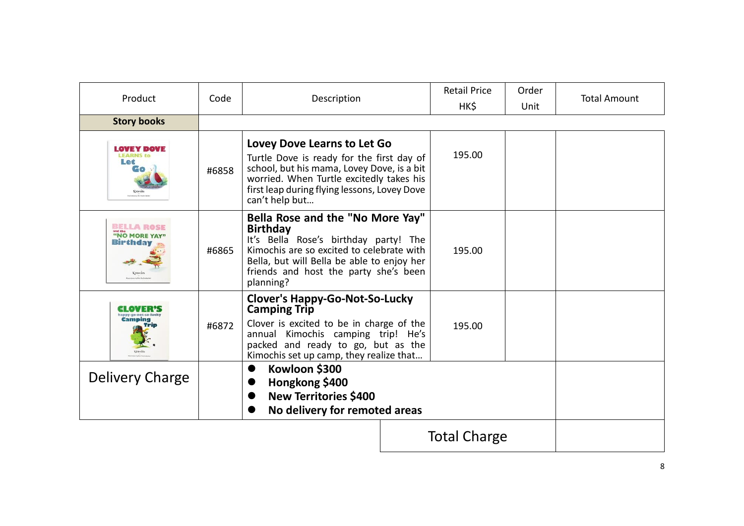| Product                                             | Code  | Description                                                                                                                                                                                                                                   | <b>Retail Price</b><br>HK\$ | Order<br>Unit | <b>Total Amount</b> |
|-----------------------------------------------------|-------|-----------------------------------------------------------------------------------------------------------------------------------------------------------------------------------------------------------------------------------------------|-----------------------------|---------------|---------------------|
| <b>Story books</b>                                  |       |                                                                                                                                                                                                                                               |                             |               |                     |
| LOVEY DOVE<br>Let                                   | #6858 | <b>Lovey Dove Learns to Let Go</b><br>Turtle Dove is ready for the first day of<br>school, but his mama, Lovey Dove, is a bit<br>worried. When Turtle excitedly takes his<br>first leap during flying lessons, Lovey Dove<br>can't help but   | 195.00                      |               |                     |
| <b>BELLA ROSE</b><br><b>'NO MORE YAY</b><br>Birthda | #6865 | Bella Rose and the "No More Yay"<br><b>Birthday</b><br>It's Bella Rose's birthday party! The<br>Kimochis are so excited to celebrate with<br>Bella, but will Bella be able to enjoy her<br>friends and host the party she's been<br>planning? | 195.00                      |               |                     |
| Camping                                             | #6872 | <b>Clover's Happy-Go-Not-So-Lucky</b><br><b>Camping Trip</b><br>Clover is excited to be in charge of the<br>annual Kimochis camping trip! He's<br>packed and ready to go, but as the<br>Kimochis set up camp, they realize that               | 195.00                      |               |                     |
| Delivery Charge                                     |       | Kowloon \$300<br>Hongkong \$400<br><b>New Territories \$400</b><br>No delivery for remoted areas                                                                                                                                              |                             |               |                     |
|                                                     |       |                                                                                                                                                                                                                                               | <b>Total Charge</b>         |               |                     |